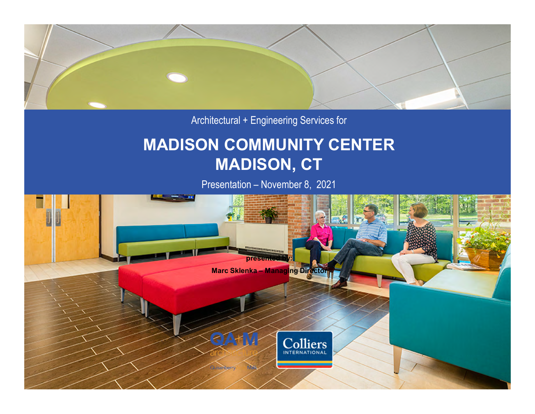

Architectural + Engineering Services for

## **MADISON COMMUNITY CENTER MADISON, CT**

Presentation – November 8, 2021

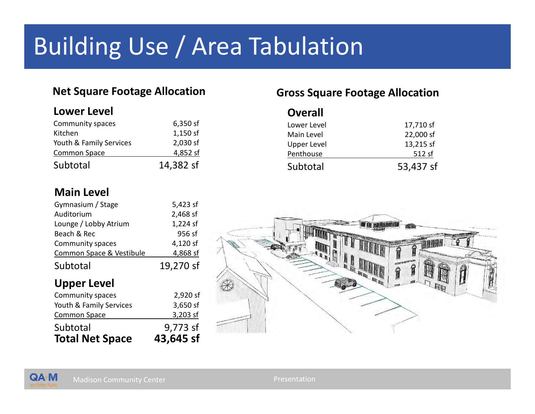# Building Use / Area Tabulation

### **Net Square Footage Allocation**

### **Lower Level**

| Community spaces        | 6,350 sf  |
|-------------------------|-----------|
| Kitchen                 | 1,150 sf  |
| Youth & Family Services | 2,030 sf  |
| Common Space            | 4,852 sf  |
| Subtotal                | 14,382 sf |

### **Gross Square Footage Allocation**

| <b>Overall</b>     |           |
|--------------------|-----------|
| Lower Level        | 17,710 sf |
| Main Level         | 22,000 sf |
| <b>Upper Level</b> | 13,215 sf |
| Penthouse          | 512 sf    |
| Subtotal           | 53,437 sf |

### **Main Level**

QA+M

| <b>Total Net Space</b>   | 43,645 sf |  |
|--------------------------|-----------|--|
| Subtotal                 | 9,773 sf  |  |
| <b>Common Space</b>      | 3,203 sf  |  |
| Youth & Family Services  | 3,650 sf  |  |
| Community spaces         | 2,920 sf  |  |
| <b>Upper Level</b>       |           |  |
| Subtotal                 | 19,270 sf |  |
| Common Space & Vestibule | 4,868 sf  |  |
| Community spaces         | 4,120 sf  |  |
| Beach & Rec              | 956 sf    |  |
| Lounge / Lobby Atrium    | 1,224 sf  |  |
| Auditorium               | 2,468 sf  |  |
| Gymnasium / Stage        | 5,423 sf  |  |

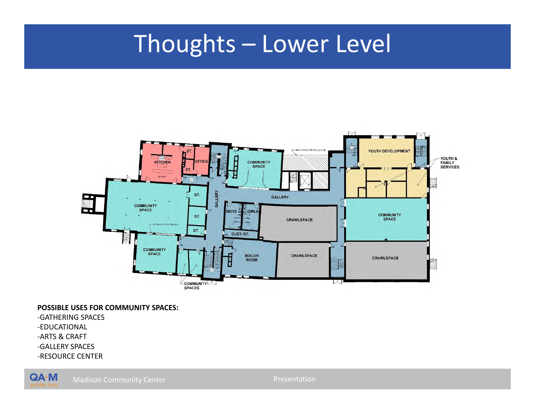## Thoughts – Lower Level



#### **POSSIBLE USES FOR COMMUNITY SPACES:**

 -ARTS & CRAFT -GATHERING SPACES -EDUCATIONAL -GALLERY SPACES -RESOURCE CENTER

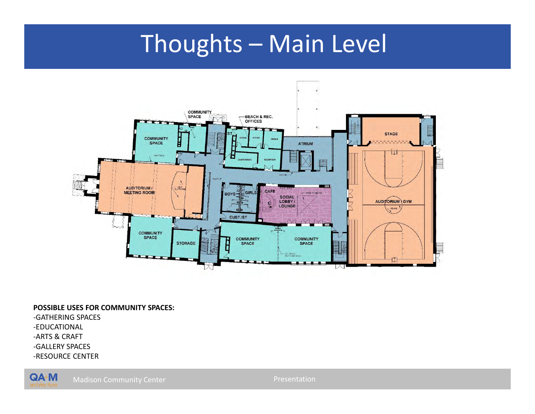## Thoughts – Main Level



#### **POSSIBLE USES FOR COMMUNITY SPACES:**

 -ARTS & CRAFT -GATHERING SPACES -EDUCATIONAL -GALLERY SPACES -RESOURCE CENTER



Madison Community Center Presentation Presentation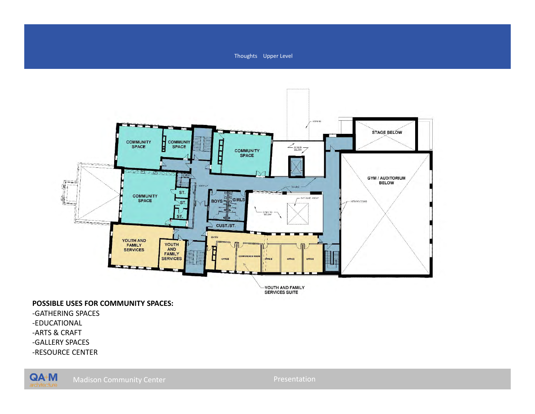



 **POSSIBLE USES FOR COMMUNITY SPACES:** 

- -GATHERING SPACES
- -EDUCATIONAL
- -ARTS & CRAFT
- -GALLERY SPACES
- -RESOURCE CENTER

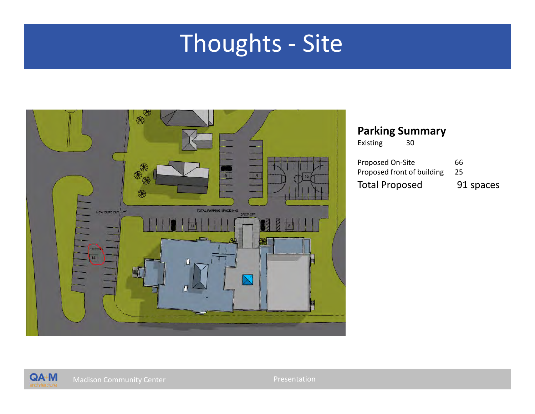## Thoughts - Site



### **Parking Summary**

Existing 30

| <b>Proposed On-Site</b>    | 66        |
|----------------------------|-----------|
| Proposed front of building | -25       |
| <b>Total Proposed</b>      | 91 spaces |

Madison Community Center Presentation Presentation

QA+M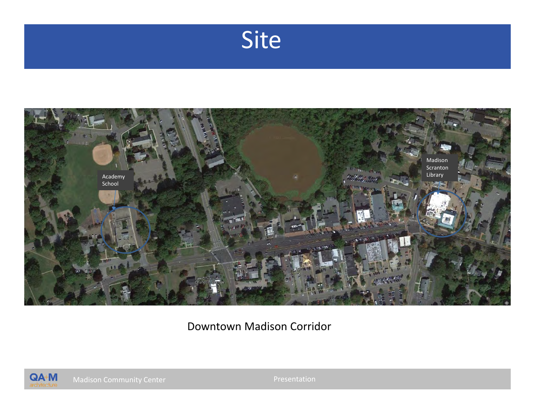



Downtown Madison Corridor



Madison Community Center Presentation Presentation